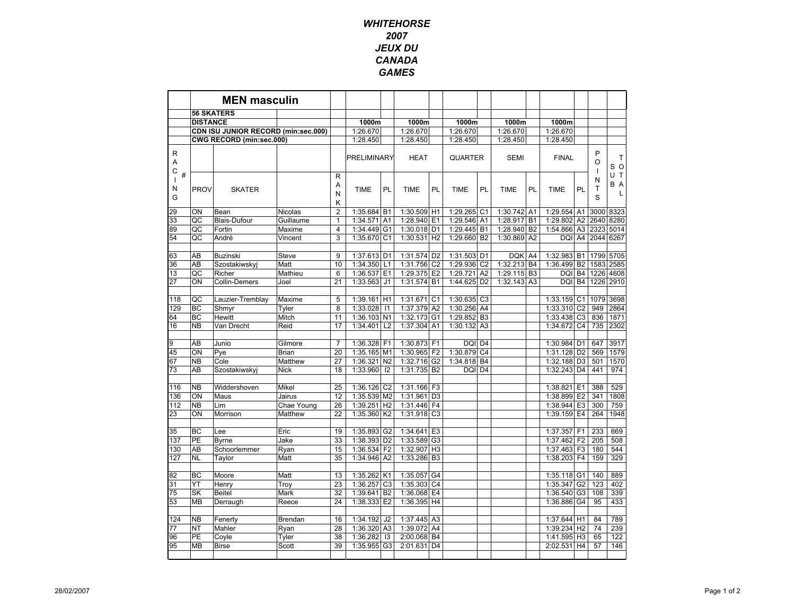## **WHITEHORSE** 2007 JEUX DU CANADAGAMES

|                                |                 | <b>MEN masculin</b>                 |              |                             |             |                |             |                |             |                |             |                |              |                |                    |                |
|--------------------------------|-----------------|-------------------------------------|--------------|-----------------------------|-------------|----------------|-------------|----------------|-------------|----------------|-------------|----------------|--------------|----------------|--------------------|----------------|
|                                |                 | <b>56 SKATERS</b>                   |              |                             |             |                |             |                |             |                |             |                |              |                |                    |                |
|                                | <b>DISTANCE</b> |                                     |              |                             | 1000m       |                | 1000m       |                | 1000m       |                | 1000m       |                | 1000m        |                |                    |                |
|                                |                 | CDN ISU JUNIOR RECORD (min:sec.000) |              |                             | 1:26.670    |                | 1:26.670    |                | 1:26.670    |                | 1:26.670    |                | 1:26.670     |                |                    |                |
|                                |                 | CWG RECORD (min:sec.000)            |              |                             | 1:28.450    |                | 1:28.450    |                | 1:28.450    |                | 1:28.450    |                | 1:28.450     |                |                    |                |
| R<br>Α<br>$\mathsf C$          |                 |                                     |              |                             | PRELIMINARY |                | <b>HEAT</b> |                | QUARTER     |                | <b>SEMI</b> |                | <b>FINAL</b> |                | P<br>$\Omega$<br>1 | Τ<br>S O       |
| $\#$<br>$\mathbf{I}$<br>N<br>G | <b>PROV</b>     | <b>SKATER</b>                       |              | $\mathsf{R}$<br>Α<br>N<br>κ | <b>TIME</b> | PL             | <b>TIME</b> | PL             | <b>TIME</b> | PL             | <b>TIME</b> | PL             | <b>TIME</b>  | PL             | N<br>T<br>S        | UT<br>B A<br>L |
| 29                             | ON              | Bean                                | Nicolas      | $\overline{2}$              | 1:35.684    | <b>B1</b>      | 1:30.509 H1 |                | 1:29.265    | C <sub>1</sub> | 1:30.742    | A <sub>1</sub> | 1:29.554     | A <sub>1</sub> | 3000               | 8323           |
| 33                             | QC              | <b>Blais-Dufour</b>                 | Guillaume    | $\mathbf{1}$                | 1:34.571    | A <sub>1</sub> | 1:28.940 E1 |                | 1:29.546    | A <sub>1</sub> | 1:28.917    | <b>B1</b>      | 1:29.802     | A <sub>2</sub> | 2640               | 8280           |
| 89                             | QC              | Fortin                              | Maxime       | $\overline{4}$              | 1:34.449    | G <sub>1</sub> | 1:30.018    | D <sub>1</sub> | 1:29.445    | <b>B1</b>      | 1:28.940    | B <sub>2</sub> | 1:54.866     | A <sub>3</sub> | 2323               | 5014           |
| 54                             | QC              | André                               | Vincent      | 3                           | 1:35.670    | C <sub>1</sub> | 1:30.531 H2 |                | 1:29.660    | <b>B2</b>      | 1:30.869    | A <sub>2</sub> | DQI          | A4             | 2044               | 6267           |
| 63                             | AB              | Buzinski                            | Steve        | 9                           | 1:37.613    | D <sub>1</sub> | 1:31.574    | D <sub>2</sub> | 1:31.503    | D <sub>1</sub> | <b>DQK</b>  | A4             | 1:32.983     | <b>B1</b>      | 1799               | 5705           |
| 36                             | AB              | Szostakiwskyj                       | Matt         | 10                          | 1:34.350    | L1             | 1:31.756    | C <sub>2</sub> | 1:29.936    | C <sub>2</sub> | 1:32.213 B4 |                | 1:36.499     | B <sub>2</sub> | 1583 2585          |                |
| 13                             | QC              | Richer                              | Mathieu      | 6                           | 1:36.537    | E <sub>1</sub> | 1:29.375    | E <sub>2</sub> | 1:29.721    | A2             | 1:29.115 B3 |                | DQI          | <b>B4</b>      | 1226 4608          |                |
| 27                             | ON              | Collin-Demers                       | Joel         | 21                          | 1:33.563    | J1             | 1:31.574 B1 |                | 1:44.625    | D <sub>2</sub> | 1:32.143 A3 |                | DQI          | <b>B4</b>      | 1226 2910          |                |
|                                |                 |                                     |              |                             |             |                |             |                |             |                |             |                |              |                |                    |                |
| 118                            | QC              | Lauzier-Tremblay                    | Maxime       | 5                           | 1:39.161    | H1             | 1:31.671    | C <sub>1</sub> | 1:30.635    | C <sub>3</sub> |             |                | 1:33.159     | C <sub>1</sub> | 1079               | 3698           |
| 129                            | <b>BC</b>       | Shmyr                               | Tyler        | 8                           | 1:33.028    | $\vert$ 11     | 1:37.379 A2 |                | 1:30.256    | A <sub>4</sub> |             |                | 1:33.310     | C <sub>2</sub> | 949                | 2864           |
| 64                             | BC              | Hewitt                              | Mitch        | 11                          | 1:36.103    | N <sub>1</sub> | 1:32.173    | G1             | 1:29.852    | B <sub>3</sub> |             |                | 1:33.438     | C <sub>3</sub> | 836                | 1871           |
| 16                             | <b>NB</b>       | Van Drecht                          | Reid         | 17                          | 1:34.401    | L2             | 1:37.304 A1 |                | 1:30.132    | A <sub>3</sub> |             |                | 1:34.672     | C <sub>4</sub> | 735                | 2302           |
| 9                              | AB              | Junio                               | Gilmore      | 7                           | 1:36.328    | F <sub>1</sub> | 1:30.873    | F <sub>1</sub> | DQI         | D <sub>4</sub> |             |                | 1:30.984     | D <sub>1</sub> | 647                | 3917           |
| 45                             | ON              | Pye                                 | <b>Brian</b> | 20                          | 1:35.165 M1 |                | 1:30.965 F2 |                | 1:30.879    | C <sub>4</sub> |             |                | 1:31.128     | D <sub>2</sub> | 569                | 1579           |
| 67                             | <b>NB</b>       | Cole                                | Matthew      | 27                          | 1:36.321    | N <sub>2</sub> | 1:32.716 G2 |                | 1:34.818    | <b>B4</b>      |             |                | 1:32.188     | D <sub>3</sub> | 501                | 1570           |
| 73                             | AB              | Szostakiwskyj                       | <b>Nick</b>  | 18                          | 1:33.960    | 12             | 1:31.735 B2 |                | DQI         | D <sub>4</sub> |             |                | 1:32.243     | D <sub>4</sub> | 441                | 974            |
|                                |                 |                                     |              |                             |             |                |             |                |             |                |             |                |              |                |                    |                |
| 116                            | <b>NB</b>       | Widdershoven                        | Mikel        | 25                          | 1:36.126    | C <sub>2</sub> | 1:31.166 F3 |                |             |                |             |                | 1:38.821     | E <sub>1</sub> | 388                | 529            |
| 136                            | ON              | Maus                                | Jairus       | 12                          | 1:35.539    | M <sub>2</sub> | 1:31.961    | D <sub>3</sub> |             |                |             |                | 1:38.899     | E <sub>2</sub> | 341                | 1808           |
| 112                            | <b>NB</b>       | Lim                                 | Chae Young   | 26                          | 1:39.251    | H <sub>2</sub> | 1:31.446 F4 |                |             |                |             |                | 1:38.944     | E <sub>3</sub> | 300                | 759            |
| 23                             | ON              | Morrison                            | Matthew      | 22                          | 1:35.360    | K <sub>2</sub> | 1:31.918    | C <sub>3</sub> |             |                |             |                | 1:39.159     | E <sub>4</sub> | 264                | 1948           |
| 35                             | <b>BC</b>       | Lee                                 | Eric         | 19                          | 1:35.893    | G <sub>2</sub> | 1:34.641    | E <sub>3</sub> |             |                |             |                | 1:37.357     | F <sub>1</sub> | 233                | 669            |
| 137                            | PE              | <b>Byrne</b>                        | Jake         | 33                          | 1:38.393    | D <sub>2</sub> | 1:33.589 G3 |                |             |                |             |                | 1:37.462     | F <sub>2</sub> | 205                | 508            |
| 130                            | AB              | Schoorlemmer                        | Ryan         | 15                          | 1:36.534    | F <sub>2</sub> | 1:32.907    | H <sub>3</sub> |             |                |             |                | 1:37.463     | F <sub>3</sub> | 180                | 544            |
| 127                            | <b>NL</b>       | Taylor                              | Matt         | 35                          | 1:34.946    | A2             | 1:33.286    | B <sub>3</sub> |             |                |             |                | 1:38.203     | F <sub>4</sub> | 159                | 329            |
|                                |                 |                                     |              |                             |             |                |             |                |             |                |             |                |              |                |                    |                |
| 82                             | <b>BC</b>       | Moore                               | Matt         | 13                          | 1:35.262    | K <sub>1</sub> | 1:35.057    | G <sub>4</sub> |             |                |             |                | 1:35.118     | G <sub>1</sub> | 140                | 889            |
| 31                             | YT              | Henry                               | Troy         | 23                          | 1:36.257    | C <sub>3</sub> | 1:35.303    | C <sub>4</sub> |             |                |             |                | 1:35.347     | G <sub>2</sub> | 123                | 402            |
| 75                             | SK              | <b>Beitel</b>                       | Mark         | 32                          | 1:39.641    | <b>B2</b>      | 1:36.068 E4 |                |             |                |             |                | 1:36.540     | G <sub>3</sub> | 108                | 339            |
| 53                             | <b>MB</b>       | Derraugh                            | Reece        | 24                          | 1:38.333    | E <sub>2</sub> | 1:36.395    | H <sub>4</sub> |             |                |             |                | 1:36.886     | G4             | 95                 | 433            |
|                                |                 |                                     |              |                             |             |                |             |                |             |                |             |                |              |                |                    |                |
| 124                            | <b>NB</b>       | Fenerty                             | Brendan      | 16                          | 1:34.192    | J <sub>2</sub> | 1:37.445 A3 |                |             |                |             |                | 1:37.644     | H1             | 84                 | 789            |
| 77                             | <b>NT</b>       | Mahler                              | Ryan         | 28                          | 1:36.320    | A <sub>3</sub> | 1:39.072    | A4             |             |                |             |                | 1:39.234     | H <sub>2</sub> | 74                 | 239            |
| 96                             | PE              | Coyle                               | Tyler        | 38                          | 1:36.282    | 13             | 2:00.068    | <b>B4</b>      |             |                |             |                | 1:41.595     | H <sub>3</sub> | 65                 | 122            |
| 95                             | <b>MB</b>       | <b>Birse</b>                        | Scott        | 39                          | 1:35.955    | G <sub>3</sub> | 2:01.631    | D <sub>4</sub> |             |                |             |                | 2:02.531     | H <sub>4</sub> | 57                 | 146            |
|                                |                 |                                     |              |                             |             |                |             |                |             |                |             |                |              |                |                    |                |